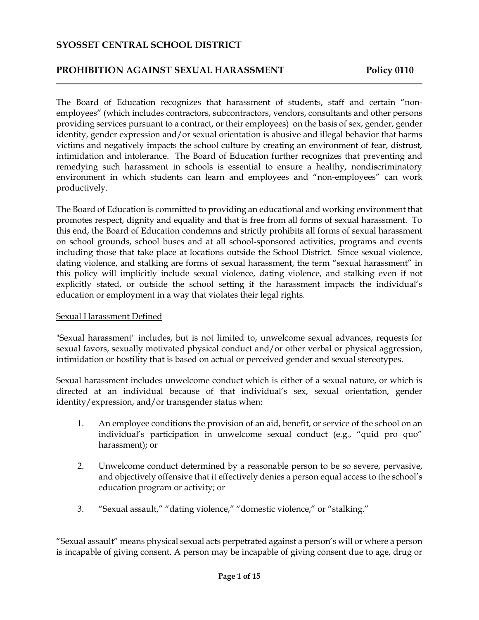## **PROHIBITION AGAINST SEXUAL HARASSMENT Policy 0110**

The Board of Education recognizes that harassment of students, staff and certain "nonemployees" (which includes contractors, subcontractors, vendors, consultants and other persons providing services pursuant to a contract, or their employees) on the basis of sex, gender, gender identity, gender expression and/or sexual orientation is abusive and illegal behavior that harms victims and negatively impacts the school culture by creating an environment of fear, distrust, intimidation and intolerance. The Board of Education further recognizes that preventing and remedying such harassment in schools is essential to ensure a healthy, nondiscriminatory environment in which students can learn and employees and "non-employees" can work productively.

The Board of Education is committed to providing an educational and working environment that promotes respect, dignity and equality and that is free from all forms of sexual harassment. To this end, the Board of Education condemns and strictly prohibits all forms of sexual harassment on school grounds, school buses and at all school-sponsored activities, programs and events including those that take place at locations outside the School District. Since sexual violence, dating violence, and stalking are forms of sexual harassment, the term "sexual harassment" in this policy will implicitly include sexual violence, dating violence, and stalking even if not explicitly stated, or outside the school setting if the harassment impacts the individual's education or employment in a way that violates their legal rights.

#### Sexual Harassment Defined

"Sexual harassment" includes, but is not limited to, unwelcome sexual advances, requests for sexual favors, sexually motivated physical conduct and/or other verbal or physical aggression, intimidation or hostility that is based on actual or perceived gender and sexual stereotypes.

Sexual harassment includes unwelcome conduct which is either of a sexual nature, or which is directed at an individual because of that individual's sex, sexual orientation, gender identity/expression, and/or transgender status when:

- 1. An employee conditions the provision of an aid, benefit, or service of the school on an individual's participation in unwelcome sexual conduct (e.g., "quid pro quo" harassment); or
- 2. Unwelcome conduct determined by a reasonable person to be so severe, pervasive, and objectively offensive that it effectively denies a person equal access to the school's education program or activity; or
- 3. "Sexual assault," "dating violence," "domestic violence," or "stalking."

"Sexual assault" means physical sexual acts perpetrated against a person's will or where a person is incapable of giving consent. A person may be incapable of giving consent due to age, drug or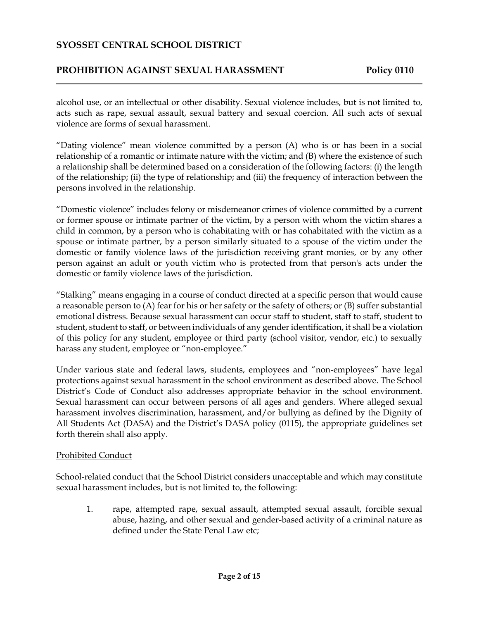## **PROHIBITION AGAINST SEXUAL HARASSMENT Policy 0110**

alcohol use, or an intellectual or other disability. Sexual violence includes, but is not limited to, acts such as rape, sexual assault, sexual battery and sexual coercion. All such acts of sexual violence are forms of sexual harassment.

"Dating violence" mean violence committed by a person (A) who is or has been in a social relationship of a romantic or intimate nature with the victim; and (B) where the existence of such a relationship shall be determined based on a consideration of the following factors: (i) the length of the relationship; (ii) the type of relationship; and (iii) the frequency of interaction between the persons involved in the relationship.

"Domestic violence" includes felony or misdemeanor crimes of violence committed by a current or former spouse or intimate partner of the victim, by a person with whom the victim shares a child in common, by a person who is cohabitating with or has cohabitated with the victim as a spouse or intimate partner, by a person similarly situated to a spouse of the victim under the domestic or family violence laws of the jurisdiction receiving grant monies, or by any other person against an adult or youth victim who is protected from that person's acts under the domestic or family violence laws of the jurisdiction.

"Stalking" means engaging in a course of conduct directed at a specific person that would cause a reasonable person to (A) fear for his or her safety or the safety of others; or (B) suffer substantial emotional distress. Because sexual harassment can occur staff to student, staff to staff, student to student, student to staff, or between individuals of any gender identification, it shall be a violation of this policy for any student, employee or third party (school visitor, vendor, etc.) to sexually harass any student, employee or "non-employee."

Under various state and federal laws, students, employees and "non-employees" have legal protections against sexual harassment in the school environment as described above. The School District's Code of Conduct also addresses appropriate behavior in the school environment. Sexual harassment can occur between persons of all ages and genders. Where alleged sexual harassment involves discrimination, harassment, and/or bullying as defined by the Dignity of All Students Act (DASA) and the District's DASA policy (0115), the appropriate guidelines set forth therein shall also apply.

#### Prohibited Conduct

School-related conduct that the School District considers unacceptable and which may constitute sexual harassment includes, but is not limited to, the following:

1. rape, attempted rape, sexual assault, attempted sexual assault, forcible sexual abuse, hazing, and other sexual and gender-based activity of a criminal nature as defined under the State Penal Law etc;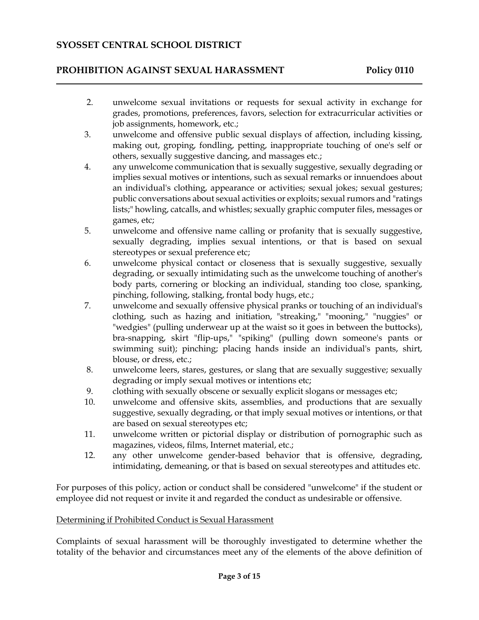## **PROHIBITION AGAINST SEXUAL HARASSMENT Policy 0110**

- 2. unwelcome sexual invitations or requests for sexual activity in exchange for grades, promotions, preferences, favors, selection for extracurricular activities or job assignments, homework, etc.;
- 3. unwelcome and offensive public sexual displays of affection, including kissing, making out, groping, fondling, petting, inappropriate touching of one's self or others, sexually suggestive dancing, and massages etc.;
- 4. any unwelcome communication that is sexually suggestive, sexually degrading or implies sexual motives or intentions, such as sexual remarks or innuendoes about an individual's clothing, appearance or activities; sexual jokes; sexual gestures; public conversations about sexual activities or exploits; sexual rumors and "ratings lists;" howling, catcalls, and whistles; sexually graphic computer files, messages or games, etc;
- 5. unwelcome and offensive name calling or profanity that is sexually suggestive, sexually degrading, implies sexual intentions, or that is based on sexual stereotypes or sexual preference etc;
- 6. unwelcome physical contact or closeness that is sexually suggestive, sexually degrading, or sexually intimidating such as the unwelcome touching of another's body parts, cornering or blocking an individual, standing too close, spanking, pinching, following, stalking, frontal body hugs, etc.;
- 7. unwelcome and sexually offensive physical pranks or touching of an individual's clothing, such as hazing and initiation, "streaking," "mooning," "nuggies" or "wedgies" (pulling underwear up at the waist so it goes in between the buttocks), bra-snapping, skirt "flip-ups," "spiking" (pulling down someone's pants or swimming suit); pinching; placing hands inside an individual's pants, shirt, blouse, or dress, etc.;
- 8. unwelcome leers, stares, gestures, or slang that are sexually suggestive; sexually degrading or imply sexual motives or intentions etc;
- 9. clothing with sexually obscene or sexually explicit slogans or messages etc;
- 10. unwelcome and offensive skits, assemblies, and productions that are sexually suggestive, sexually degrading, or that imply sexual motives or intentions, or that are based on sexual stereotypes etc;
- 11. unwelcome written or pictorial display or distribution of pornographic such as magazines, videos, films, Internet material, etc.;
- 12. any other unwelcome gender-based behavior that is offensive, degrading, intimidating, demeaning, or that is based on sexual stereotypes and attitudes etc.

For purposes of this policy, action or conduct shall be considered "unwelcome" if the student or employee did not request or invite it and regarded the conduct as undesirable or offensive.

#### Determining if Prohibited Conduct is Sexual Harassment

Complaints of sexual harassment will be thoroughly investigated to determine whether the totality of the behavior and circumstances meet any of the elements of the above definition of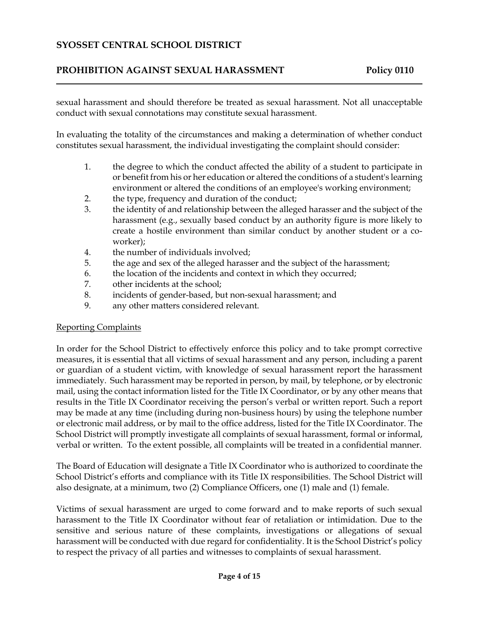## **PROHIBITION AGAINST SEXUAL HARASSMENT Policy 0110**

sexual harassment and should therefore be treated as sexual harassment. Not all unacceptable conduct with sexual connotations may constitute sexual harassment.

In evaluating the totality of the circumstances and making a determination of whether conduct constitutes sexual harassment, the individual investigating the complaint should consider:

- 1. the degree to which the conduct affected the ability of a student to participate in or benefit from his or her education or altered the conditions of a student's learning environment or altered the conditions of an employee's working environment;
- 2. the type, frequency and duration of the conduct;
- 3. the identity of and relationship between the alleged harasser and the subject of the harassment (e.g., sexually based conduct by an authority figure is more likely to create a hostile environment than similar conduct by another student or a coworker);
- 4. the number of individuals involved;
- 5. the age and sex of the alleged harasser and the subject of the harassment;
- 6. the location of the incidents and context in which they occurred;
- 7. other incidents at the school;
- 8. incidents of gender-based, but non-sexual harassment; and
- 9. any other matters considered relevant.

#### Reporting Complaints

In order for the School District to effectively enforce this policy and to take prompt corrective measures, it is essential that all victims of sexual harassment and any person, including a parent or guardian of a student victim, with knowledge of sexual harassment report the harassment immediately. Such harassment may be reported in person, by mail, by telephone, or by electronic mail, using the contact information listed for the Title IX Coordinator, or by any other means that results in the Title IX Coordinator receiving the person's verbal or written report. Such a report may be made at any time (including during non-business hours) by using the telephone number or electronic mail address, or by mail to the office address, listed for the Title IX Coordinator. The School District will promptly investigate all complaints of sexual harassment, formal or informal, verbal or written. To the extent possible, all complaints will be treated in a confidential manner.

The Board of Education will designate a Title IX Coordinator who is authorized to coordinate the School District's efforts and compliance with its Title IX responsibilities. The School District will also designate, at a minimum, two (2) Compliance Officers, one (1) male and (1) female.

Victims of sexual harassment are urged to come forward and to make reports of such sexual harassment to the Title IX Coordinator without fear of retaliation or intimidation. Due to the sensitive and serious nature of these complaints, investigations or allegations of sexual harassment will be conducted with due regard for confidentiality. It is the School District's policy to respect the privacy of all parties and witnesses to complaints of sexual harassment.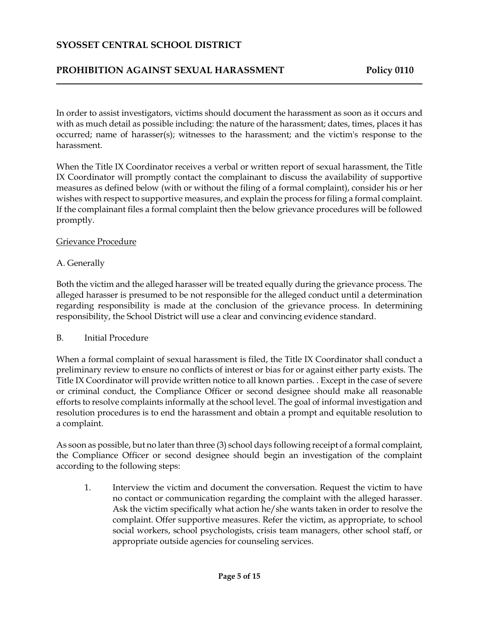## **PROHIBITION AGAINST SEXUAL HARASSMENT Policy 0110**

In order to assist investigators, victims should document the harassment as soon as it occurs and with as much detail as possible including: the nature of the harassment; dates, times, places it has occurred; name of harasser(s); witnesses to the harassment; and the victim's response to the harassment.

When the Title IX Coordinator receives a verbal or written report of sexual harassment, the Title IX Coordinator will promptly contact the complainant to discuss the availability of supportive measures as defined below (with or without the filing of a formal complaint), consider his or her wishes with respect to supportive measures, and explain the process for filing a formal complaint. If the complainant files a formal complaint then the below grievance procedures will be followed promptly.

#### Grievance Procedure

#### A. Generally

Both the victim and the alleged harasser will be treated equally during the grievance process. The alleged harasser is presumed to be not responsible for the alleged conduct until a determination regarding responsibility is made at the conclusion of the grievance process. In determining responsibility, the School District will use a clear and convincing evidence standard.

#### B. Initial Procedure

When a formal complaint of sexual harassment is filed, the Title IX Coordinator shall conduct a preliminary review to ensure no conflicts of interest or bias for or against either party exists. The Title IX Coordinator will provide written notice to all known parties. . Except in the case of severe or criminal conduct, the Compliance Officer or second designee should make all reasonable efforts to resolve complaints informally at the school level. The goal of informal investigation and resolution procedures is to end the harassment and obtain a prompt and equitable resolution to a complaint.

As soon as possible, but no later than three (3) school days following receipt of a formal complaint, the Compliance Officer or second designee should begin an investigation of the complaint according to the following steps:

1. Interview the victim and document the conversation. Request the victim to have no contact or communication regarding the complaint with the alleged harasser. Ask the victim specifically what action he/she wants taken in order to resolve the complaint. Offer supportive measures. Refer the victim, as appropriate, to school social workers, school psychologists, crisis team managers, other school staff, or appropriate outside agencies for counseling services.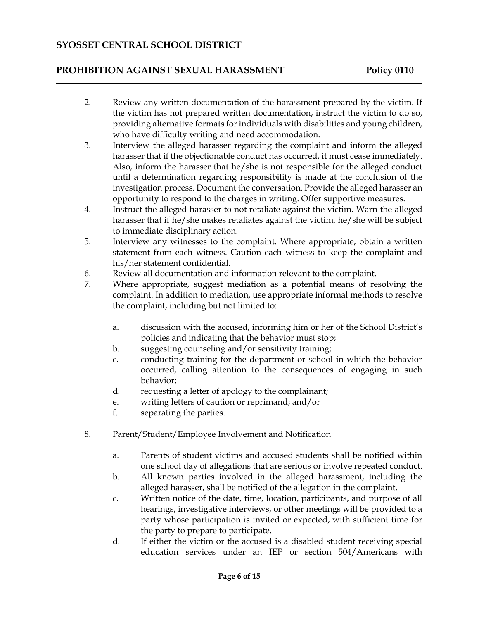## **PROHIBITION AGAINST SEXUAL HARASSMENT Policy 0110**

- 2. Review any written documentation of the harassment prepared by the victim. If the victim has not prepared written documentation, instruct the victim to do so, providing alternative formats for individuals with disabilities and young children, who have difficulty writing and need accommodation.
- 3. Interview the alleged harasser regarding the complaint and inform the alleged harasser that if the objectionable conduct has occurred, it must cease immediately. Also, inform the harasser that he/she is not responsible for the alleged conduct until a determination regarding responsibility is made at the conclusion of the investigation process. Document the conversation. Provide the alleged harasser an opportunity to respond to the charges in writing. Offer supportive measures.
- 4. Instruct the alleged harasser to not retaliate against the victim. Warn the alleged harasser that if he/she makes retaliates against the victim, he/she will be subject to immediate disciplinary action.
- 5. Interview any witnesses to the complaint. Where appropriate, obtain a written statement from each witness. Caution each witness to keep the complaint and his/her statement confidential.
- 6. Review all documentation and information relevant to the complaint.
- 7. Where appropriate, suggest mediation as a potential means of resolving the complaint. In addition to mediation, use appropriate informal methods to resolve the complaint, including but not limited to:
	- a. discussion with the accused, informing him or her of the School District's policies and indicating that the behavior must stop;
	- b. suggesting counseling and/or sensitivity training;
	- c. conducting training for the department or school in which the behavior occurred, calling attention to the consequences of engaging in such behavior;
	- d. requesting a letter of apology to the complainant;
	- e. writing letters of caution or reprimand; and/or
	- f. separating the parties.
- 8. Parent/Student/Employee Involvement and Notification
	- a. Parents of student victims and accused students shall be notified within one school day of allegations that are serious or involve repeated conduct.
	- b. All known parties involved in the alleged harassment, including the alleged harasser, shall be notified of the allegation in the complaint.
	- c. Written notice of the date, time, location, participants, and purpose of all hearings, investigative interviews, or other meetings will be provided to a party whose participation is invited or expected, with sufficient time for the party to prepare to participate.
	- d. If either the victim or the accused is a disabled student receiving special education services under an IEP or section 504/Americans with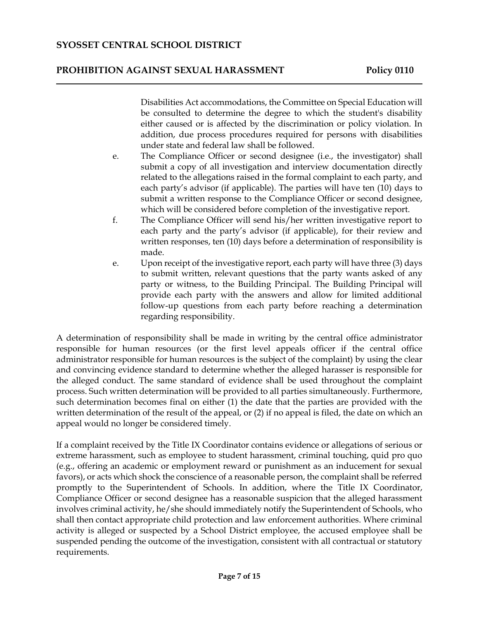Disabilities Act accommodations, the Committee on Special Education will be consulted to determine the degree to which the student's disability either caused or is affected by the discrimination or policy violation. In addition, due process procedures required for persons with disabilities under state and federal law shall be followed.

- e. The Compliance Officer or second designee (i.e., the investigator) shall submit a copy of all investigation and interview documentation directly related to the allegations raised in the formal complaint to each party, and each party's advisor (if applicable). The parties will have ten (10) days to submit a written response to the Compliance Officer or second designee, which will be considered before completion of the investigative report.
- f. The Compliance Officer will send his/her written investigative report to each party and the party's advisor (if applicable), for their review and written responses, ten (10) days before a determination of responsibility is made.
- e. Upon receipt of the investigative report, each party will have three (3) days to submit written, relevant questions that the party wants asked of any party or witness, to the Building Principal. The Building Principal will provide each party with the answers and allow for limited additional follow-up questions from each party before reaching a determination regarding responsibility.

A determination of responsibility shall be made in writing by the central office administrator responsible for human resources (or the first level appeals officer if the central office administrator responsible for human resources is the subject of the complaint) by using the clear and convincing evidence standard to determine whether the alleged harasser is responsible for the alleged conduct. The same standard of evidence shall be used throughout the complaint process. Such written determination will be provided to all parties simultaneously. Furthermore, such determination becomes final on either (1) the date that the parties are provided with the written determination of the result of the appeal, or (2) if no appeal is filed, the date on which an appeal would no longer be considered timely.

If a complaint received by the Title IX Coordinator contains evidence or allegations of serious or extreme harassment, such as employee to student harassment, criminal touching, quid pro quo (e.g., offering an academic or employment reward or punishment as an inducement for sexual favors), or acts which shock the conscience of a reasonable person, the complaint shall be referred promptly to the Superintendent of Schools. In addition, where the Title IX Coordinator, Compliance Officer or second designee has a reasonable suspicion that the alleged harassment involves criminal activity, he/she should immediately notify the Superintendent of Schools, who shall then contact appropriate child protection and law enforcement authorities. Where criminal activity is alleged or suspected by a School District employee, the accused employee shall be suspended pending the outcome of the investigation, consistent with all contractual or statutory requirements.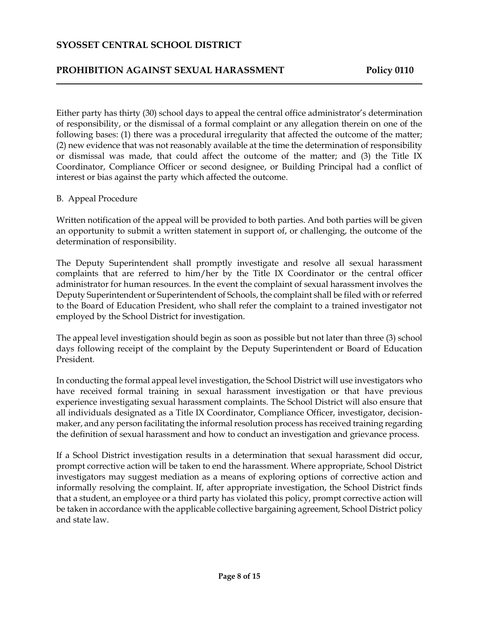## **PROHIBITION AGAINST SEXUAL HARASSMENT Policy 0110**

Either party has thirty (30) school days to appeal the central office administrator's determination of responsibility, or the dismissal of a formal complaint or any allegation therein on one of the following bases: (1) there was a procedural irregularity that affected the outcome of the matter; (2) new evidence that was not reasonably available at the time the determination of responsibility or dismissal was made, that could affect the outcome of the matter; and (3) the Title IX Coordinator, Compliance Officer or second designee, or Building Principal had a conflict of interest or bias against the party which affected the outcome.

#### B. Appeal Procedure

Written notification of the appeal will be provided to both parties. And both parties will be given an opportunity to submit a written statement in support of, or challenging, the outcome of the determination of responsibility.

The Deputy Superintendent shall promptly investigate and resolve all sexual harassment complaints that are referred to him/her by the Title IX Coordinator or the central officer administrator for human resources. In the event the complaint of sexual harassment involves the Deputy Superintendent or Superintendent of Schools, the complaint shall be filed with or referred to the Board of Education President, who shall refer the complaint to a trained investigator not employed by the School District for investigation.

The appeal level investigation should begin as soon as possible but not later than three (3) school days following receipt of the complaint by the Deputy Superintendent or Board of Education President.

In conducting the formal appeal level investigation, the School District will use investigators who have received formal training in sexual harassment investigation or that have previous experience investigating sexual harassment complaints. The School District will also ensure that all individuals designated as a Title IX Coordinator, Compliance Officer, investigator, decisionmaker, and any person facilitating the informal resolution process has received training regarding the definition of sexual harassment and how to conduct an investigation and grievance process.

If a School District investigation results in a determination that sexual harassment did occur, prompt corrective action will be taken to end the harassment. Where appropriate, School District investigators may suggest mediation as a means of exploring options of corrective action and informally resolving the complaint. If, after appropriate investigation, the School District finds that a student, an employee or a third party has violated this policy, prompt corrective action will be taken in accordance with the applicable collective bargaining agreement, School District policy and state law.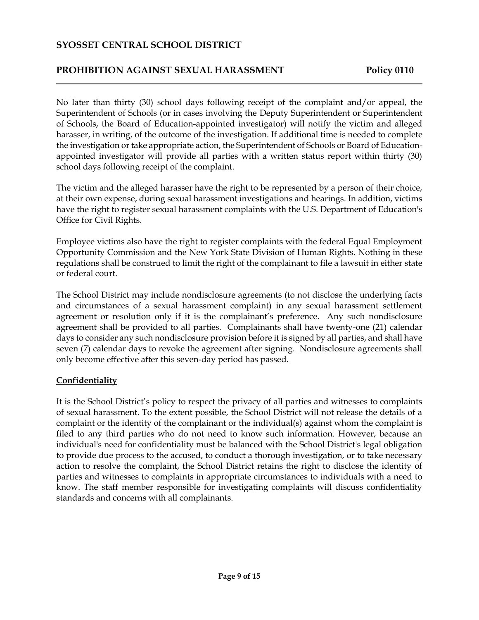## **PROHIBITION AGAINST SEXUAL HARASSMENT Policy 0110**

No later than thirty (30) school days following receipt of the complaint and/or appeal, the Superintendent of Schools (or in cases involving the Deputy Superintendent or Superintendent of Schools, the Board of Education-appointed investigator) will notify the victim and alleged harasser, in writing, of the outcome of the investigation. If additional time is needed to complete the investigation or take appropriate action, the Superintendent of Schools or Board of Educationappointed investigator will provide all parties with a written status report within thirty (30) school days following receipt of the complaint.

The victim and the alleged harasser have the right to be represented by a person of their choice, at their own expense, during sexual harassment investigations and hearings. In addition, victims have the right to register sexual harassment complaints with the U.S. Department of Education's Office for Civil Rights.

Employee victims also have the right to register complaints with the federal Equal Employment Opportunity Commission and the New York State Division of Human Rights. Nothing in these regulations shall be construed to limit the right of the complainant to file a lawsuit in either state or federal court.

The School District may include nondisclosure agreements (to not disclose the underlying facts and circumstances of a sexual harassment complaint) in any sexual harassment settlement agreement or resolution only if it is the complainant's preference. Any such nondisclosure agreement shall be provided to all parties. Complainants shall have twenty-one (21) calendar days to consider any such nondisclosure provision before it is signed by all parties, and shall have seven (7) calendar days to revoke the agreement after signing. Nondisclosure agreements shall only become effective after this seven-day period has passed.

#### **Confidentiality**

It is the School District's policy to respect the privacy of all parties and witnesses to complaints of sexual harassment. To the extent possible, the School District will not release the details of a complaint or the identity of the complainant or the individual(s) against whom the complaint is filed to any third parties who do not need to know such information. However, because an individual's need for confidentiality must be balanced with the School District's legal obligation to provide due process to the accused, to conduct a thorough investigation, or to take necessary action to resolve the complaint, the School District retains the right to disclose the identity of parties and witnesses to complaints in appropriate circumstances to individuals with a need to know. The staff member responsible for investigating complaints will discuss confidentiality standards and concerns with all complainants.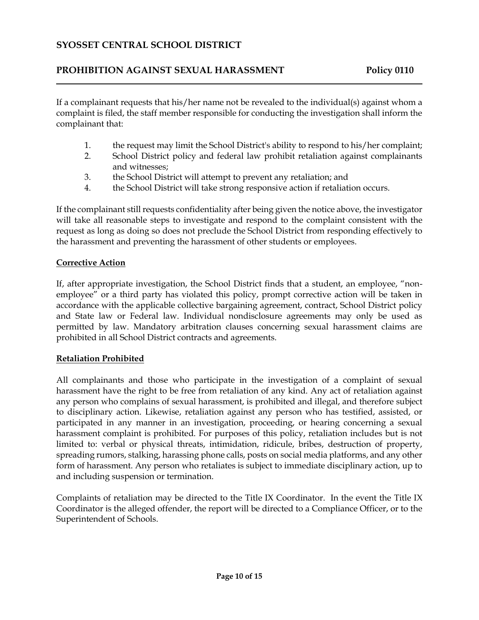## **PROHIBITION AGAINST SEXUAL HARASSMENT Policy 0110**

If a complainant requests that his/her name not be revealed to the individual(s) against whom a complaint is filed, the staff member responsible for conducting the investigation shall inform the complainant that:

- 1. the request may limit the School District's ability to respond to his/her complaint;
- 2. School District policy and federal law prohibit retaliation against complainants and witnesses;
- 3. the School District will attempt to prevent any retaliation; and
- 4. the School District will take strong responsive action if retaliation occurs.

If the complainant still requests confidentiality after being given the notice above, the investigator will take all reasonable steps to investigate and respond to the complaint consistent with the request as long as doing so does not preclude the School District from responding effectively to the harassment and preventing the harassment of other students or employees.

#### **Corrective Action**

If, after appropriate investigation, the School District finds that a student, an employee, "nonemployee" or a third party has violated this policy, prompt corrective action will be taken in accordance with the applicable collective bargaining agreement, contract, School District policy and State law or Federal law. Individual nondisclosure agreements may only be used as permitted by law. Mandatory arbitration clauses concerning sexual harassment claims are prohibited in all School District contracts and agreements.

#### **Retaliation Prohibited**

All complainants and those who participate in the investigation of a complaint of sexual harassment have the right to be free from retaliation of any kind. Any act of retaliation against any person who complains of sexual harassment, is prohibited and illegal, and therefore subject to disciplinary action. Likewise, retaliation against any person who has testified, assisted, or participated in any manner in an investigation, proceeding, or hearing concerning a sexual harassment complaint is prohibited. For purposes of this policy, retaliation includes but is not limited to: verbal or physical threats, intimidation, ridicule, bribes, destruction of property, spreading rumors, stalking, harassing phone calls, posts on social media platforms, and any other form of harassment. Any person who retaliates is subject to immediate disciplinary action, up to and including suspension or termination.

Complaints of retaliation may be directed to the Title IX Coordinator. In the event the Title IX Coordinator is the alleged offender, the report will be directed to a Compliance Officer, or to the Superintendent of Schools.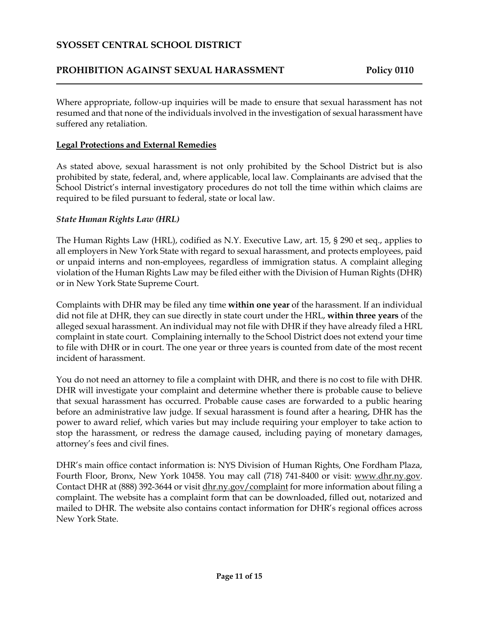## **PROHIBITION AGAINST SEXUAL HARASSMENT Policy 0110**

Where appropriate, follow-up inquiries will be made to ensure that sexual harassment has not resumed and that none of the individuals involved in the investigation of sexual harassment have suffered any retaliation.

#### **Legal Protections and External Remedies**

As stated above, sexual harassment is not only prohibited by the School District but is also prohibited by state, federal, and, where applicable, local law. Complainants are advised that the School District's internal investigatory procedures do not toll the time within which claims are required to be filed pursuant to federal, state or local law.

#### *State Human Rights Law (HRL)*

The Human Rights Law (HRL), codified as N.Y. Executive Law, art. 15, § 290 et seq., applies to all employers in New York State with regard to sexual harassment, and protects employees, paid or unpaid interns and non-employees, regardless of immigration status. A complaint alleging violation of the Human Rights Law may be filed either with the Division of Human Rights (DHR) or in New York State Supreme Court.

Complaints with DHR may be filed any time **within one year** of the harassment. If an individual did not file at DHR, they can sue directly in state court under the HRL, **within three years** of the alleged sexual harassment. An individual may not file with DHR if they have already filed a HRL complaint in state court. Complaining internally to the School District does not extend your time to file with DHR or in court. The one year or three years is counted from date of the most recent incident of harassment.

You do not need an attorney to file a complaint with DHR, and there is no cost to file with DHR. DHR will investigate your complaint and determine whether there is probable cause to believe that sexual harassment has occurred. Probable cause cases are forwarded to a public hearing before an administrative law judge. If sexual harassment is found after a hearing, DHR has the power to award relief, which varies but may include requiring your employer to take action to stop the harassment, or redress the damage caused, including paying of monetary damages, attorney's fees and civil fines.

DHR's main office contact information is: NYS Division of Human Rights, One Fordham Plaza, Fourth Floor, Bronx, New York 10458. You may call (718) 741-8400 or visit: [www.dhr.ny.gov.](http://www.dhr.ny.gov/) Contact DHR at (888) 392-3644 or visit [dhr.ny.gov/complaint](https://dhr.ny.gov/complaint) for more information about filing a complaint. The website has a complaint form that can be downloaded, filled out, notarized and mailed to DHR. The website also contains contact information for DHR's regional offices across New York State.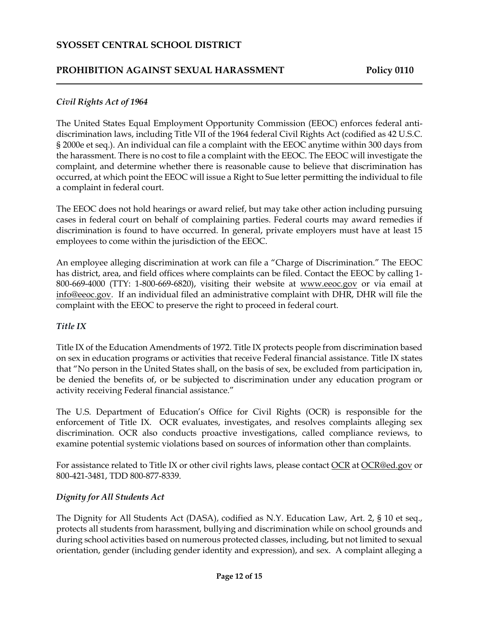## **PROHIBITION AGAINST SEXUAL HARASSMENT Policy 0110**

#### *Civil Rights Act of 1964*

The United States Equal Employment Opportunity Commission (EEOC) enforces federal antidiscrimination laws, including Title VII of the 1964 federal Civil Rights Act (codified as 42 U.S.C. § 2000e et seq.). An individual can file a complaint with the EEOC anytime within 300 days from the harassment. There is no cost to file a complaint with the EEOC. The EEOC will investigate the complaint, and determine whether there is reasonable cause to believe that discrimination has occurred, at which point the EEOC will issue a Right to Sue letter permitting the individual to file a complaint in federal court.

The EEOC does not hold hearings or award relief, but may take other action including pursuing cases in federal court on behalf of complaining parties. Federal courts may award remedies if discrimination is found to have occurred. In general, private employers must have at least 15 employees to come within the jurisdiction of the EEOC.

An employee alleging discrimination at work can file a "Charge of Discrimination." The EEOC has district, area, and field offices where complaints can be filed. Contact the EEOC by calling 1- 800-669-4000 (TTY: 1-800-669-6820), visiting their website at [www.eeoc.gov](http://www.eeoc.gov/) or via email at [info@eeoc.gov.](mailto:info@eeoc.gov) If an individual filed an administrative complaint with DHR, DHR will file the complaint with the EEOC to preserve the right to proceed in federal court.

#### *Title IX*

Title IX of the Education Amendments of 1972. Title IX protects people from discrimination based on sex in education programs or activities that receive Federal financial assistance. Title IX states that "No person in the United States shall, on the basis of sex, be excluded from participation in, be denied the benefits of, or be subjected to discrimination under any education program or activity receiving Federal financial assistance."

The U.S. Department of Education's Office for Civil Rights (OCR) is responsible for the enforcement of Title IX. OCR evaluates, investigates, and resolves complaints alleging sex discrimination. OCR also conducts proactive investigations, called compliance reviews, to examine potential systemic violations based on sources of information other than complaints.

For assistance related to Title IX or other civil rights laws, please contac[t OCR](https://wdcrobcolp01.ed.gov/CFAPPS/OCR/contactus.cfm) at [OCR@ed.gov](mailto:ocr@ed.gov) or 800-421-3481, TDD 800-877-8339.

#### *Dignity for All Students Act*

The Dignity for All Students Act (DASA), codified as N.Y. Education Law, Art. 2, § 10 et seq., protects all students from harassment, bullying and discrimination while on school grounds and during school activities based on numerous protected classes, including, but not limited to sexual orientation, gender (including gender identity and expression), and sex. A complaint alleging a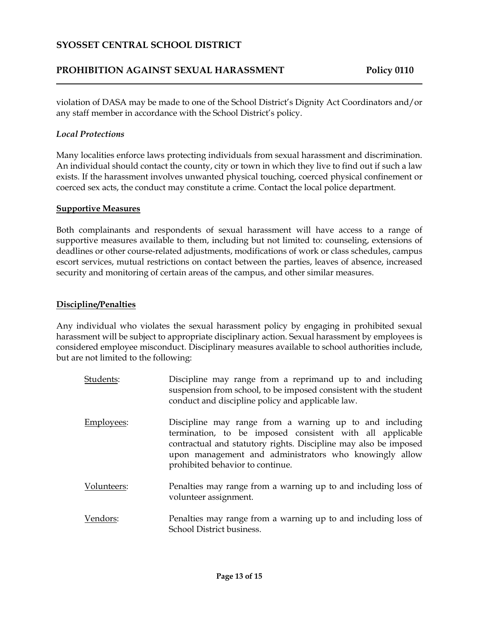## **PROHIBITION AGAINST SEXUAL HARASSMENT Policy 0110**

violation of DASA may be made to one of the School District's Dignity Act Coordinators and/or any staff member in accordance with the School District's policy.

#### *Local Protections*

Many localities enforce laws protecting individuals from sexual harassment and discrimination. An individual should contact the county, city or town in which they live to find out if such a law exists. If the harassment involves unwanted physical touching, coerced physical confinement or coerced sex acts, the conduct may constitute a crime. Contact the local police department.

#### **Supportive Measures**

Both complainants and respondents of sexual harassment will have access to a range of supportive measures available to them, including but not limited to: counseling, extensions of deadlines or other course-related adjustments, modifications of work or class schedules, campus escort services, mutual restrictions on contact between the parties, leaves of absence, increased security and monitoring of certain areas of the campus, and other similar measures.

#### **Discipline/Penalties**

Any individual who violates the sexual harassment policy by engaging in prohibited sexual harassment will be subject to appropriate disciplinary action. Sexual harassment by employees is considered employee misconduct. Disciplinary measures available to school authorities include, but are not limited to the following:

| Students:   | Discipline may range from a reprimand up to and including<br>suspension from school, to be imposed consistent with the student<br>conduct and discipline policy and applicable law.                                                                                                    |
|-------------|----------------------------------------------------------------------------------------------------------------------------------------------------------------------------------------------------------------------------------------------------------------------------------------|
| Employees:  | Discipline may range from a warning up to and including<br>termination, to be imposed consistent with all applicable<br>contractual and statutory rights. Discipline may also be imposed<br>upon management and administrators who knowingly allow<br>prohibited behavior to continue. |
| Volunteers: | Penalties may range from a warning up to and including loss of<br>volunteer assignment.                                                                                                                                                                                                |
| Vendors:    | Penalties may range from a warning up to and including loss of<br>School District business.                                                                                                                                                                                            |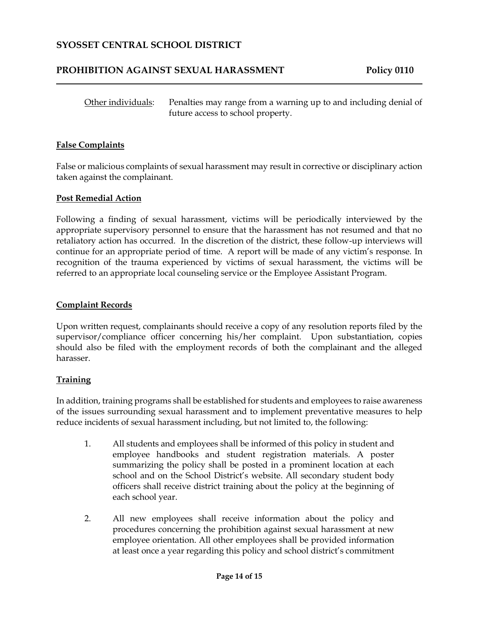## **PROHIBITION AGAINST SEXUAL HARASSMENT Policy 0110**

Other individuals: Penalties may range from a warning up to and including denial of future access to school property.

#### **False Complaints**

False or malicious complaints of sexual harassment may result in corrective or disciplinary action taken against the complainant.

#### **Post Remedial Action**

Following a finding of sexual harassment, victims will be periodically interviewed by the appropriate supervisory personnel to ensure that the harassment has not resumed and that no retaliatory action has occurred. In the discretion of the district, these follow-up interviews will continue for an appropriate period of time. A report will be made of any victim's response. In recognition of the trauma experienced by victims of sexual harassment, the victims will be referred to an appropriate local counseling service or the Employee Assistant Program.

#### **Complaint Records**

Upon written request, complainants should receive a copy of any resolution reports filed by the supervisor/compliance officer concerning his/her complaint. Upon substantiation, copies should also be filed with the employment records of both the complainant and the alleged harasser.

#### **Training**

In addition, training programs shall be established for students and employees to raise awareness of the issues surrounding sexual harassment and to implement preventative measures to help reduce incidents of sexual harassment including, but not limited to, the following:

- 1. All students and employees shall be informed of this policy in student and employee handbooks and student registration materials. A poster summarizing the policy shall be posted in a prominent location at each school and on the School District's website. All secondary student body officers shall receive district training about the policy at the beginning of each school year.
- 2. All new employees shall receive information about the policy and procedures concerning the prohibition against sexual harassment at new employee orientation. All other employees shall be provided information at least once a year regarding this policy and school district's commitment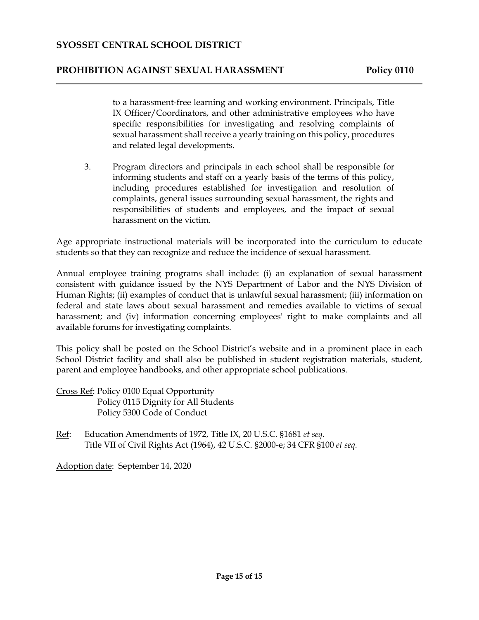to a harassment-free learning and working environment. Principals, Title IX Officer/Coordinators, and other administrative employees who have specific responsibilities for investigating and resolving complaints of sexual harassment shall receive a yearly training on this policy, procedures and related legal developments.

3. Program directors and principals in each school shall be responsible for informing students and staff on a yearly basis of the terms of this policy, including procedures established for investigation and resolution of complaints, general issues surrounding sexual harassment, the rights and responsibilities of students and employees, and the impact of sexual harassment on the victim.

Age appropriate instructional materials will be incorporated into the curriculum to educate students so that they can recognize and reduce the incidence of sexual harassment.

Annual employee training programs shall include: (i) an explanation of sexual harassment consistent with guidance issued by the NYS Department of Labor and the NYS Division of Human Rights; (ii) examples of conduct that is unlawful sexual harassment; (iii) information on federal and state laws about sexual harassment and remedies available to victims of sexual harassment; and (iv) information concerning employees' right to make complaints and all available forums for investigating complaints.

This policy shall be posted on the School District's website and in a prominent place in each School District facility and shall also be published in student registration materials, student, parent and employee handbooks, and other appropriate school publications.

Cross Ref: Policy 0100 Equal Opportunity Policy 0115 Dignity for All Students Policy 5300 Code of Conduct

Ref: Education Amendments of 1972, Title IX, 20 U.S.C. §1681 *et seq.* Title VII of Civil Rights Act (1964), 42 U.S.C. §2000-e; 34 CFR §100 *et seq.*

Adoption date: September 14, 2020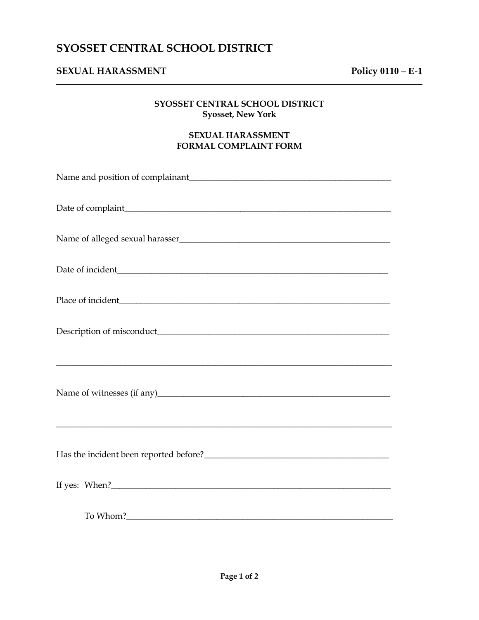## **SEXUAL HARASSMENT Policy 0110 – E-1**

#### **SYOSSET CENTRAL SCHOOL DISTRICT Syosset, New York**

#### **SEXUAL HARASSMENT FORMAL COMPLAINT FORM**

| <u> 1989 - Johann Stoff, deutscher Stoff, der Stoff, der Stoff, der Stoff, der Stoff, der Stoff, der Stoff, der S</u> |  |  |
|-----------------------------------------------------------------------------------------------------------------------|--|--|
|                                                                                                                       |  |  |
|                                                                                                                       |  |  |
|                                                                                                                       |  |  |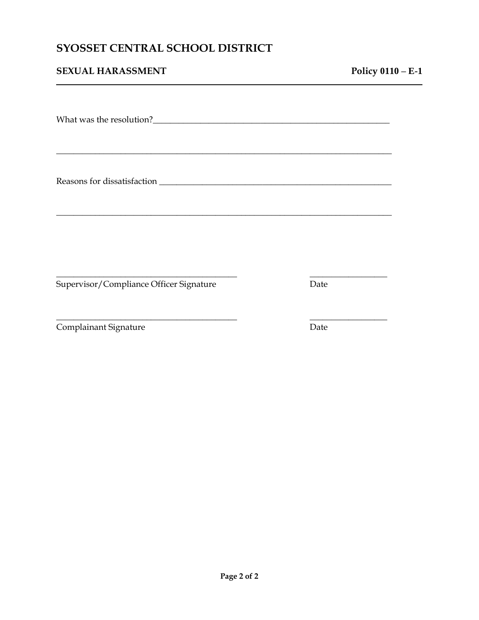## **SEXUAL HARASSMENT Policy 0110 – E-1**

What was the resolution?\_\_\_\_\_\_\_\_\_\_\_\_\_\_\_\_\_\_\_\_\_\_\_\_\_\_\_\_\_\_\_\_\_\_\_\_\_\_\_\_\_\_\_\_\_\_\_\_\_\_\_\_\_\_\_

\_\_\_\_\_\_\_\_\_\_\_\_\_\_\_\_\_\_\_\_\_\_\_\_\_\_\_\_\_\_\_\_\_\_\_\_\_\_\_\_\_\_\_\_\_\_\_\_\_\_\_\_\_\_\_\_\_\_\_\_\_\_\_\_\_\_\_\_\_\_\_\_\_\_\_\_\_\_

Reasons for dissatisfaction \_\_\_\_\_\_\_\_\_\_\_\_\_\_\_\_\_\_\_\_\_\_\_\_\_\_\_\_\_\_\_\_\_\_\_\_\_\_\_\_\_\_\_\_\_\_\_\_\_\_\_\_\_\_

\_\_\_\_\_\_\_\_\_\_\_\_\_\_\_\_\_\_\_\_\_\_\_\_\_\_\_\_\_\_\_\_\_\_\_\_\_\_\_\_\_\_ \_\_\_\_\_\_\_\_\_\_\_\_\_\_\_\_\_\_ Supervisor/Compliance Officer Signature Date

Complainant Signature Date

\_\_\_\_\_\_\_\_\_\_\_\_\_\_\_\_\_\_\_\_\_\_\_\_\_\_\_\_\_\_\_\_\_\_\_\_\_\_\_\_\_\_ \_\_\_\_\_\_\_\_\_\_\_\_\_\_\_\_\_\_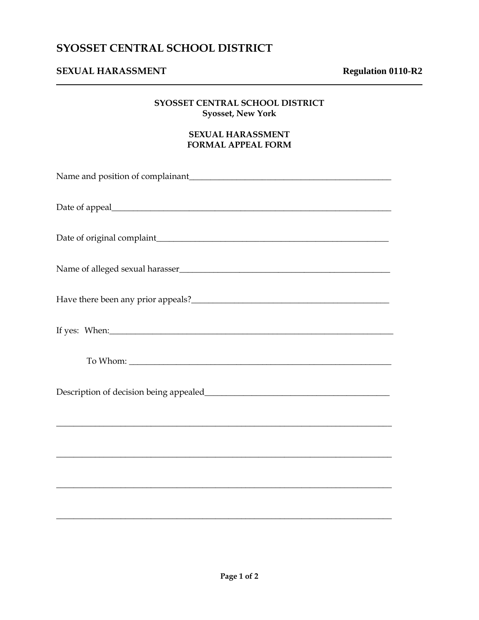## **SEXUAL HARASSMENT**

## **Regulation 0110-R2**

#### SYOSSET CENTRAL SCHOOL DISTRICT **Syosset, New York**

#### **SEXUAL HARASSMENT FORMAL APPEAL FORM**

| Name and position of complainant               |  |  |
|------------------------------------------------|--|--|
|                                                |  |  |
|                                                |  |  |
|                                                |  |  |
|                                                |  |  |
|                                                |  |  |
|                                                |  |  |
|                                                |  |  |
|                                                |  |  |
| Have there been any prior appeals?<br><u> </u> |  |  |
|                                                |  |  |
| If yes: When:                                  |  |  |
|                                                |  |  |
|                                                |  |  |
|                                                |  |  |
|                                                |  |  |
|                                                |  |  |
|                                                |  |  |
|                                                |  |  |
|                                                |  |  |
|                                                |  |  |
|                                                |  |  |
|                                                |  |  |
|                                                |  |  |
|                                                |  |  |